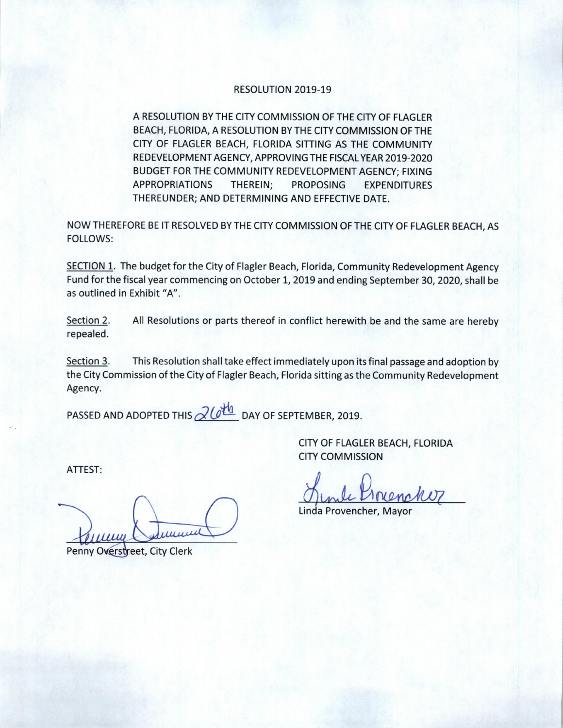## RESOLUTION 2019-19

A RESOLUTION BY THE CITY COMMISSION OF THE CITY OF FLAGLER BEACH, FLORIDA, A RESOLUTION BY THE CITY COMMISSION OF THE CITY OF FLAGLER BEACH, FLORIDA SITTING AS THE COMMUNITY REDEVELOPMENT AGENCY, APPROVING THE FISCAL YEAR 2019-2020 BUDGET FOR THE COMMUNITY REDEVELOPMENT AGENCY; FIXING APPROPRIATIONS THEREIN; PROPOSING EXPENDITURES THEREUNDER; AND DETERMINING AND EFFECTIVE DATE.

NOW THEREFORE BE IT RESOLVED BY THE CITY COMMISSION OF THE CITY OF FLAGLER BEACH, AS FOLLOWS:

SECTION 1. The budget for the City of Flagler Beach, Florida, Community Redevelopment Agency Fund for the fiscal year commencing on October 1, 2019 and ending September 30, 2020, shall be as outlined in Exhibit "A".

Section 2. All Resolutions or parts thereof in conflict herewith be and the same are hereby repealed.

Section 3. This Resolution shall take effect immediately upon its final passage and adoption by the City Commission of the City of Flagler Beach, Florida sitting as the Community Redevelopment Agency.

PASSED AND ADOPTED THIS  $\partial U^{\underline{H_0}}$  DAY OF SEPTEMBER, 2019.

CITY OF FLAGLER BEACH, FLORIDA CITY COMMISSION

i' mle Pinen w

Linda Provencher, Mayo

ATTEST:

una Commun

Penny Overstreet, City Clerk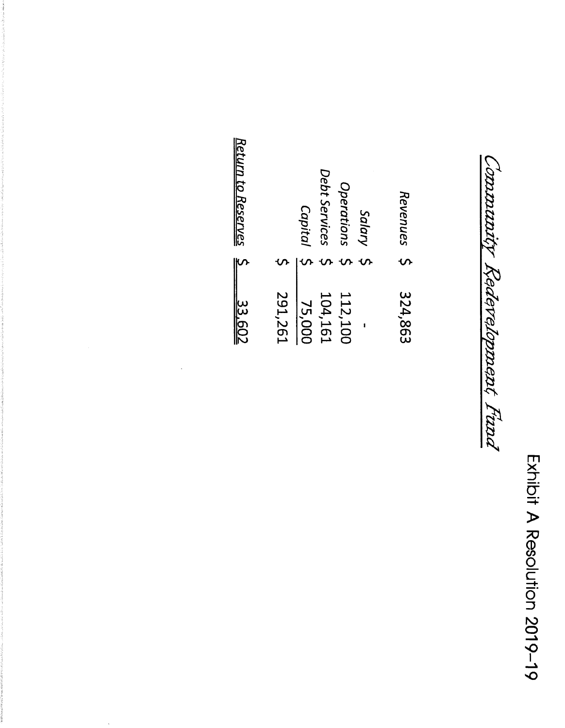Exhibit A Resolution 2019-19

Connunity Redevelopment Fund

| Return to Reserves 5 |         | Capital | Debt Services<br>$\mathbf \Omega$ | <b><i><u>Operations</u></i></b><br>S | Salary<br>$\mathbf{\hat{v}}$ | Revenues |
|----------------------|---------|---------|-----------------------------------|--------------------------------------|------------------------------|----------|
| 33.602               | 291,261 | 75,000  | 104,161                           | 112,100                              |                              | 324,863  |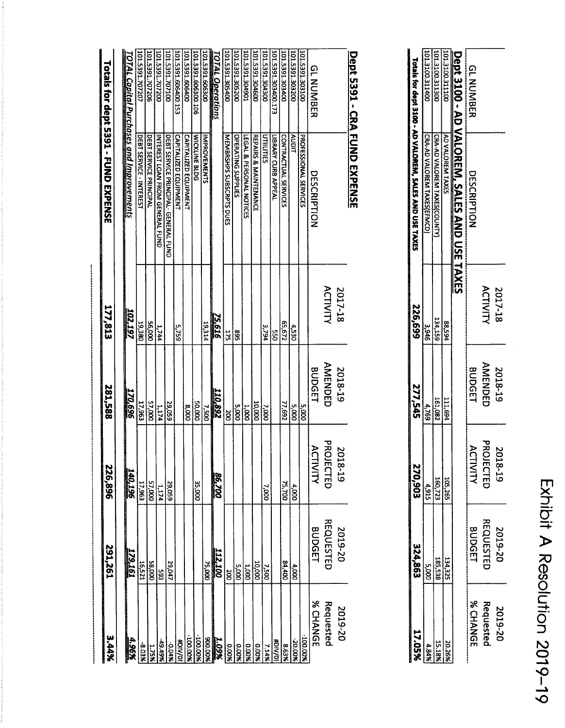| ļ<br>Ļ<br>$\ddot{\cdot}$<br>$\frac{1}{2}$ |
|-------------------------------------------|
|                                           |
| $\frac{1}{2}$                             |
| -<br>S<br>₹                               |

| 17.05%    | 324,863          |                                                         | 277,545        | 226,699          | a series de la componenta de la componenta de la componenta de la componenta de la componenta de la componenta<br>Totals for dept 3100 - AD VALOREM, SALES AND USE TAXES |                        |
|-----------|------------------|---------------------------------------------------------|----------------|------------------|--------------------------------------------------------------------------------------------------------------------------------------------------------------------------|------------------------|
| 4.84%     | $-1000$          | $\frac{\frac{105,285}{100,723}}{\frac{4,915}{270,903}}$ | 4,769          | 346 <sup>e</sup> | CRA-AD VALOREM TAXES(EFMCD)                                                                                                                                              | 101.3100.311400        |
| 15.18%    | 185,538          |                                                         | 161,082        | 134,159          | CRA-AD VALOREM TAXES(COUNTY                                                                                                                                              | 101.3100.31130         |
| 20.26%    | 134,325          |                                                         | 111,694        | 88,594           | AD VALOREM TAXES                                                                                                                                                         | <b>JOILIE.OOIE.LOL</b> |
|           |                  |                                                         |                |                  | Dept 3100 - AD VALOREM, SALES AND USE TAXES                                                                                                                              |                        |
| % CHANGI  | <b>BUDGET</b>    | <b>ACTIVITY</b>                                         | <b>BUDGET</b>  |                  | DESCRIPTION                                                                                                                                                              | <b>GLNUMBER</b>        |
| Requester | <b>REQUESTED</b> | PROJECTEL                                               | <b>AMENDED</b> | <b>ACTIVITY</b>  |                                                                                                                                                                          |                        |
| 2019-20   | 2019-20          | 2018-19                                                 | 2018-19        | 2017-18          |                                                                                                                                                                          |                        |

## Dept 5391 - CRA FUND EXPENSE

|                 |                    |             |                |                 | Totals for dept 5391 - FUND EXPENSE      |                     |
|-----------------|--------------------|-------------|----------------|-----------------|------------------------------------------|---------------------|
| 3.44%           | 291,261            | 226,896     | 281,588        | 177,813         |                                          |                     |
| 4.96%           | 179.161            | 340,196     | 170,696        | 102,197         | TOTAL Capital Purchases and Improvements |                     |
| 8.03%           | 16,521             | 17,963      | 17,963         | 19,380          | DEBT SERVICE - INTEREST                  | 101.5391.707207     |
| 1.75%           | 000'85             | 000'/5      | 57,000         | <b>DOD'95</b>   | DEBT SERVICE PRINCIPAL                   | 101.5391.707206     |
| 49.49%          | 593                | 1,174       | 1,174          | 1,744           | INTEREST LOAN FROM GENERAL FUND          | 101.5391.707200     |
| -0.04%          | 29,047             | 29,059      | <b>29,059</b>  |                 | DEBT SERVICE PRINCIPAL- GENERAL FUND     | 101.5391.707100     |
| <b>HDIVIOI</b>  |                    |             |                | <b>5,759</b>    | <b>CAPITALIZED EQUIPMENT</b>             | 101.5391.606400.153 |
| <b>%00'001-</b> |                    |             | 000'8          |                 | <b>CAPITALIZED EQUIPMENT</b>             | 101.5391.606400     |
| $-100.00$       |                    | 35,000      | 000'05         |                 | <b>WICKLINE BLDG</b>                     | 101.5391.606300.106 |
| 800.00%         | 75,000             |             | <b>2.500</b>   | 19,314          | IMPROVEMENTS                             | 101.5391.606300     |
| 1.09%           | <u>112,100</u>     | 86,700      | 110,892        | <b>75,616</b>   |                                          | TOTAL Operations    |
| 0.00%           | 200                |             | ă              | <b>275</b>      | MEMBRSHPS SUBSCRPTS DUES                 | 101.5391.305400     |
| <b>9.00%</b>    | $\overline{5,000}$ |             | 000'S          | 568             | <b>OPERATING SUPPLIES</b>                | 101.5391.305200     |
| 0.00%           | 1,000              |             | 000'I          |                 | LEGAL & PERSONAL NOTICES                 | 101.5391.304901     |
| 800.0           | 10,000             |             | 10,000         |                 | REPAIRS & MAINTENANCE                    | 101.5391.304600     |
| 7.14%           | 005'L              | 000'L       | 7,000          | 3,794           | UTIILITIES                               | 101.5391.304300     |
| <b>a/NG#</b>    |                    |             |                | š.              | LIBRARY CURB APPEAL                      | 101.5391.303400.173 |
| 8.63%           | 007'18             | 75,700      | 77,692         | <b>SS,672</b>   | CONTRACTUAL SERVICES                     | 101.5391.303400     |
| %00'02          | 4,000              | 4,000       | 000'S          | 4,530           | AUDIT                                    | 101.5391.30320C     |
| %00'001-        |                    |             | 5,000          |                 | PROFESSIONAL SERVICES                    | 101.5391.302100     |
| % CHANGE        | <b>BUDGET</b>      | ∀כבו<br>NIM | <b>BUDGET</b>  |                 | DESCRIPTION                              | <b>GLNUMBER</b>     |
| Requested       | <b>REQUESTED</b>   | PROJECTED   | <b>AMENDED</b> | <b>ACTIVITY</b> |                                          |                     |
| 2019-20         | 2019-20            | 201<br>8-19 | 2018-19        | 2017-18         |                                          |                     |